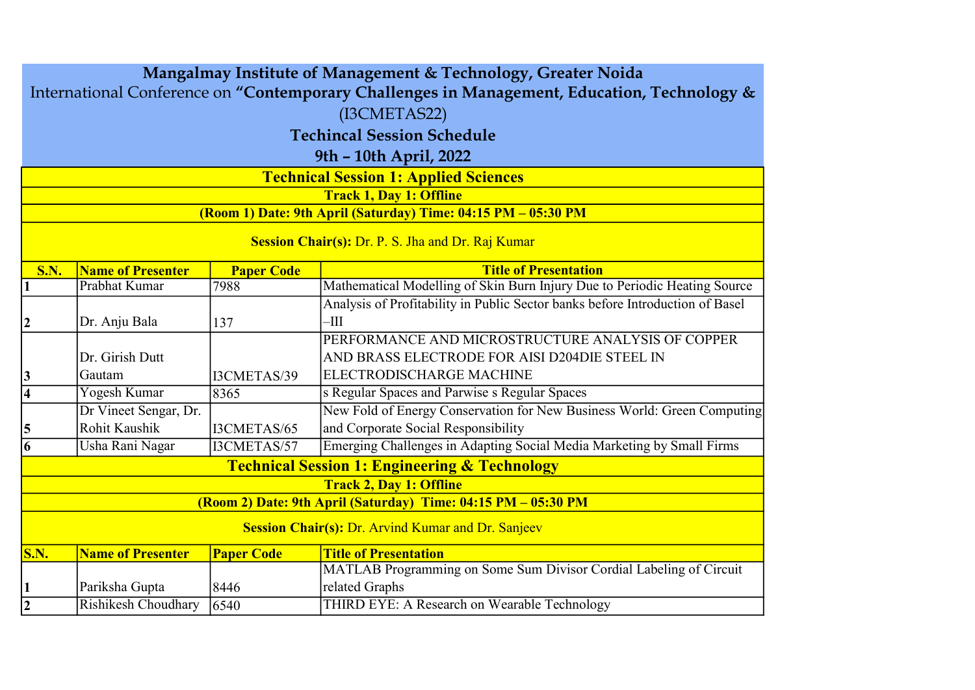| Mangalmay Institute of Management & Technology, Greater Noida                                            |                                   |                   |                                                                               |  |  |                                                               |  |  |  |  |
|----------------------------------------------------------------------------------------------------------|-----------------------------------|-------------------|-------------------------------------------------------------------------------|--|--|---------------------------------------------------------------|--|--|--|--|
| International Conference on "Contemporary Challenges in Management, Education, Technology &              |                                   |                   |                                                                               |  |  |                                                               |  |  |  |  |
| (I3CMETAS22)                                                                                             |                                   |                   |                                                                               |  |  |                                                               |  |  |  |  |
|                                                                                                          | <b>Techincal Session Schedule</b> |                   |                                                                               |  |  |                                                               |  |  |  |  |
| 9th - 10th April, 2022<br><b>Technical Session 1: Applied Sciences</b><br><b>Track 1, Day 1: Offline</b> |                                   |                   |                                                                               |  |  |                                                               |  |  |  |  |
|                                                                                                          |                                   |                   |                                                                               |  |  | (Room 1) Date: 9th April (Saturday) Time: 04:15 PM - 05:30 PM |  |  |  |  |
|                                                                                                          |                                   |                   |                                                                               |  |  |                                                               |  |  |  |  |
|                                                                                                          |                                   |                   | Session Chair(s): Dr. P. S. Jha and Dr. Raj Kumar                             |  |  |                                                               |  |  |  |  |
| <b>S.N.</b>                                                                                              | Name of Presenter                 | <b>Paper Code</b> | <b>Title of Presentation</b>                                                  |  |  |                                                               |  |  |  |  |
| 1                                                                                                        | Prabhat Kumar                     | 7988              | Mathematical Modelling of Skin Burn Injury Due to Periodic Heating Source     |  |  |                                                               |  |  |  |  |
|                                                                                                          |                                   |                   | Analysis of Profitability in Public Sector banks before Introduction of Basel |  |  |                                                               |  |  |  |  |
| 2                                                                                                        | Dr. Anju Bala                     | 137               | $-\text{III}$                                                                 |  |  |                                                               |  |  |  |  |
|                                                                                                          |                                   |                   | PERFORMANCE AND MICROSTRUCTURE ANALYSIS OF COPPER                             |  |  |                                                               |  |  |  |  |
|                                                                                                          | Dr. Girish Dutt                   |                   | AND BRASS ELECTRODE FOR AISI D204DIE STEEL IN                                 |  |  |                                                               |  |  |  |  |
| 3                                                                                                        | Gautam                            | I3CMETAS/39       | ELECTRODISCHARGE MACHINE                                                      |  |  |                                                               |  |  |  |  |
| $\overline{4}$                                                                                           | Yogesh Kumar                      | 8365              | s Regular Spaces and Parwise s Regular Spaces                                 |  |  |                                                               |  |  |  |  |
|                                                                                                          | Dr Vineet Sengar, Dr.             |                   | New Fold of Energy Conservation for New Business World: Green Computing       |  |  |                                                               |  |  |  |  |
| 5                                                                                                        | Rohit Kaushik                     | I3CMETAS/65       | and Corporate Social Responsibility                                           |  |  |                                                               |  |  |  |  |
| 6                                                                                                        | Usha Rani Nagar                   | I3CMETAS/57       | Emerging Challenges in Adapting Social Media Marketing by Small Firms         |  |  |                                                               |  |  |  |  |
|                                                                                                          |                                   |                   | <b>Technical Session 1: Engineering &amp; Technology</b>                      |  |  |                                                               |  |  |  |  |
|                                                                                                          |                                   |                   | <b>Track 2, Day 1: Offline</b>                                                |  |  |                                                               |  |  |  |  |
|                                                                                                          |                                   |                   | (Room 2) Date: 9th April (Saturday) Time: 04:15 PM - 05:30 PM                 |  |  |                                                               |  |  |  |  |
| <b>Session Chair(s): Dr. Arvind Kumar and Dr. Sanjeev</b>                                                |                                   |                   |                                                                               |  |  |                                                               |  |  |  |  |
| $\mathbf{S}.\mathbf{N}$ .                                                                                | <b>Name of Presenter</b>          | <b>Paper Code</b> | <b>Title of Presentation</b>                                                  |  |  |                                                               |  |  |  |  |
|                                                                                                          |                                   |                   | MATLAB Programming on Some Sum Divisor Cordial Labeling of Circuit            |  |  |                                                               |  |  |  |  |
| $\mathbf{1}$                                                                                             | Pariksha Gupta                    | 8446              | related Graphs                                                                |  |  |                                                               |  |  |  |  |
| $\overline{\mathbf{2}}$                                                                                  | Rishikesh Choudhary               | 6540              | THIRD EYE: A Research on Wearable Technology                                  |  |  |                                                               |  |  |  |  |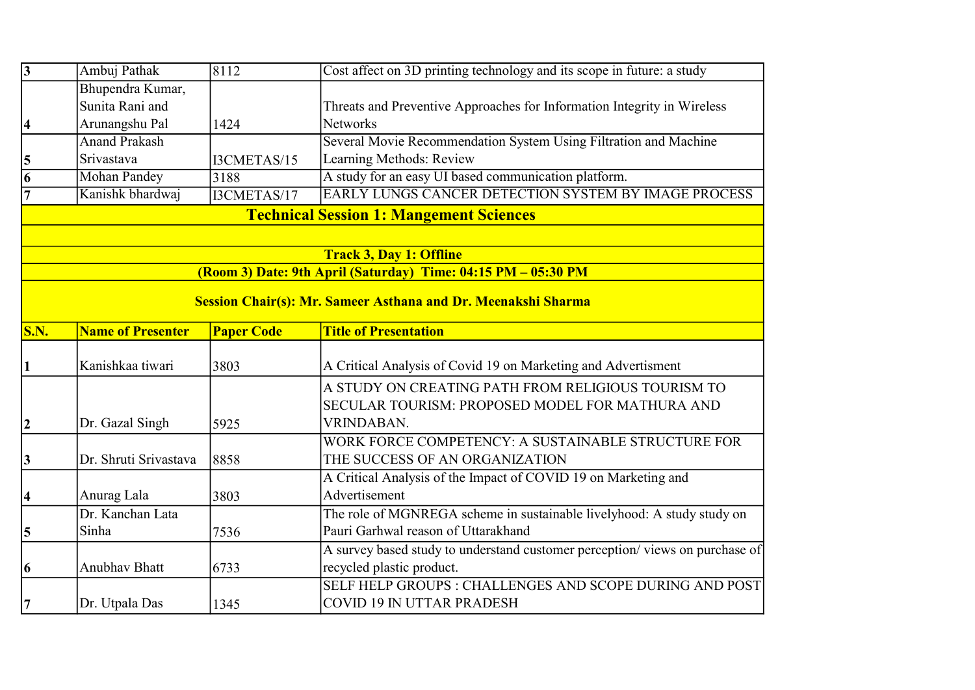| $\overline{3}$      | Ambuj Pathak                   | 8112              | Cost affect on 3D printing technology and its scope in future: a study      |  |  |  |
|---------------------|--------------------------------|-------------------|-----------------------------------------------------------------------------|--|--|--|
|                     | Bhupendra Kumar,               |                   |                                                                             |  |  |  |
|                     | Sunita Rani and                |                   | Threats and Preventive Approaches for Information Integrity in Wireless     |  |  |  |
| $\vert 4 \vert$     | Arunangshu Pal                 | 1424              | <b>Networks</b>                                                             |  |  |  |
|                     | <b>Anand Prakash</b>           |                   | Several Movie Recommendation System Using Filtration and Machine            |  |  |  |
| 5                   | Srivastava                     | I3CMETAS/15       | Learning Methods: Review                                                    |  |  |  |
| 6                   | <b>Mohan Pandey</b>            | 3188              | A study for an easy UI based communication platform.                        |  |  |  |
| $\overline{7}$      | Kanishk bhardwaj               | I3CMETAS/17       | EARLY LUNGS CANCER DETECTION SYSTEM BY IMAGE PROCESS                        |  |  |  |
|                     |                                |                   | <b>Technical Session 1: Mangement Sciences</b>                              |  |  |  |
|                     |                                |                   |                                                                             |  |  |  |
|                     | <b>Track 3, Day 1: Offline</b> |                   |                                                                             |  |  |  |
|                     |                                |                   | (Room 3) Date: 9th April (Saturday) Time: 04:15 PM - 05:30 PM               |  |  |  |
|                     |                                |                   | Session Chair(s): Mr. Sameer Asthana and Dr. Meenakshi Sharma               |  |  |  |
|                     |                                |                   |                                                                             |  |  |  |
| S.N.                | <b>Name of Presenter</b>       | <b>Paper Code</b> | <b>Title of Presentation</b>                                                |  |  |  |
|                     |                                |                   |                                                                             |  |  |  |
|                     | Kanishkaa tiwari               | 3803              | A Critical Analysis of Covid 19 on Marketing and Advertisment               |  |  |  |
|                     |                                |                   | A STUDY ON CREATING PATH FROM RELIGIOUS TOURISM TO                          |  |  |  |
|                     |                                |                   | SECULAR TOURISM: PROPOSED MODEL FOR MATHURA AND                             |  |  |  |
| $ 2\rangle$         | Dr. Gazal Singh                | 5925              | VRINDABAN.                                                                  |  |  |  |
|                     |                                |                   | WORK FORCE COMPETENCY: A SUSTAINABLE STRUCTURE FOR                          |  |  |  |
| 3                   | Dr. Shruti Srivastava          | 8858              | THE SUCCESS OF AN ORGANIZATION                                              |  |  |  |
|                     |                                |                   | A Critical Analysis of the Impact of COVID 19 on Marketing and              |  |  |  |
| $\overline{\bf{4}}$ | Anurag Lala                    | 3803              | Advertisement                                                               |  |  |  |
|                     | Dr. Kanchan Lata               |                   | The role of MGNREGA scheme in sustainable livelyhood: A study study on      |  |  |  |
| $\vert 5 \vert$     | Sinha                          | 7536              | Pauri Garhwal reason of Uttarakhand                                         |  |  |  |
|                     |                                |                   | A survey based study to understand customer perception/views on purchase of |  |  |  |
| 6                   | <b>Anubhav Bhatt</b>           | 6733              | recycled plastic product.                                                   |  |  |  |
|                     |                                |                   | SELF HELP GROUPS : CHALLENGES AND SCOPE DURING AND POST                     |  |  |  |
| 7                   | Dr. Utpala Das                 | 1345              | <b>COVID 19 IN UTTAR PRADESH</b>                                            |  |  |  |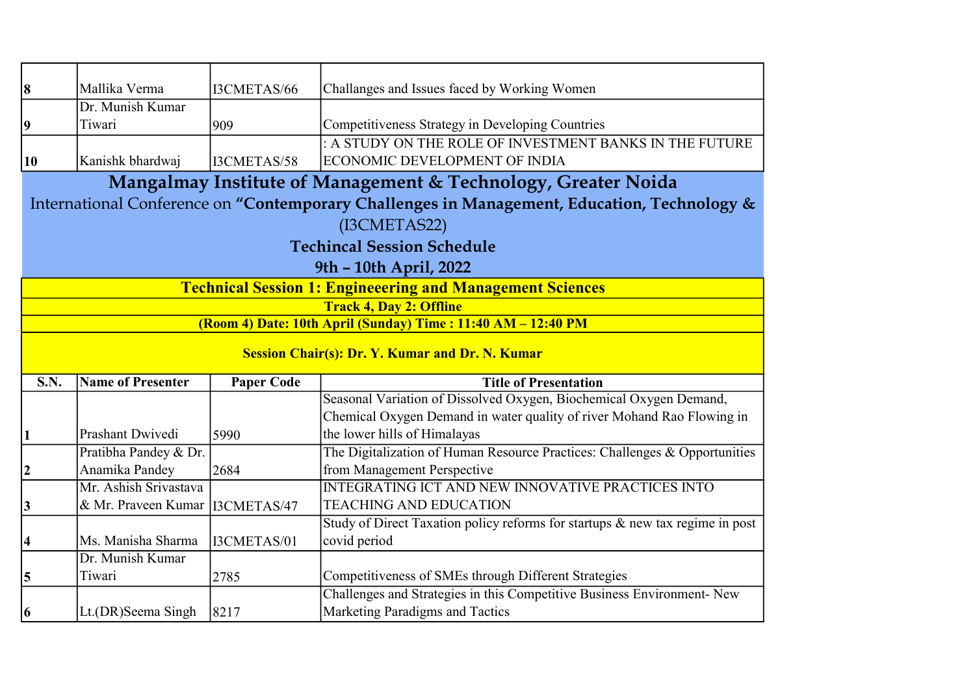| 8                                                                | Mallika Verma                                                                               | I3CMETAS/66       | Challanges and Issues faced by Working Women                                                               |  |  |  |
|------------------------------------------------------------------|---------------------------------------------------------------------------------------------|-------------------|------------------------------------------------------------------------------------------------------------|--|--|--|
|                                                                  | Dr. Munish Kumar                                                                            |                   |                                                                                                            |  |  |  |
| $\overline{\mathbf{9}}$                                          | Tiwari                                                                                      | 909               | Competitiveness Strategy in Developing Countries                                                           |  |  |  |
|                                                                  |                                                                                             |                   | : A STUDY ON THE ROLE OF INVESTMENT BANKS IN THE FUTURE                                                    |  |  |  |
| 10                                                               | Kanishk bhardwaj                                                                            | I3CMETAS/58       | <b>ECONOMIC DEVELOPMENT OF INDIA</b>                                                                       |  |  |  |
|                                                                  |                                                                                             |                   | Mangalmay Institute of Management & Technology, Greater Noida                                              |  |  |  |
|                                                                  | International Conference on "Contemporary Challenges in Management, Education, Technology & |                   |                                                                                                            |  |  |  |
| (I3CMETAS22)                                                     |                                                                                             |                   |                                                                                                            |  |  |  |
|                                                                  | <b>Techincal Session Schedule</b>                                                           |                   |                                                                                                            |  |  |  |
| 9th - 10th April, 2022                                           |                                                                                             |                   |                                                                                                            |  |  |  |
| <b>Technical Session 1: Engineeering and Management Sciences</b> |                                                                                             |                   |                                                                                                            |  |  |  |
| <b>Track 4, Day 2: Offline</b>                                   |                                                                                             |                   |                                                                                                            |  |  |  |
|                                                                  |                                                                                             |                   | (Room 4) Date: 10th April (Sunday) Time : 11:40 AM - 12:40 PM                                              |  |  |  |
| <b>Session Chair(s): Dr. Y. Kumar and Dr. N. Kumar</b>           |                                                                                             |                   |                                                                                                            |  |  |  |
|                                                                  |                                                                                             |                   |                                                                                                            |  |  |  |
| <b>S.N.</b>                                                      | <b>Name of Presenter</b>                                                                    | <b>Paper Code</b> | <b>Title of Presentation</b>                                                                               |  |  |  |
|                                                                  |                                                                                             |                   | Seasonal Variation of Dissolved Oxygen, Biochemical Oxygen Demand,                                         |  |  |  |
|                                                                  |                                                                                             |                   | Chemical Oxygen Demand in water quality of river Mohand Rao Flowing in                                     |  |  |  |
| 1                                                                | Prashant Dwivedi                                                                            | 5990              | the lower hills of Himalayas                                                                               |  |  |  |
|                                                                  | Pratibha Pandey & Dr.                                                                       |                   | The Digitalization of Human Resource Practices: Challenges & Opportunities                                 |  |  |  |
| 2                                                                | Anamika Pandey                                                                              | 2684              | from Management Perspective                                                                                |  |  |  |
|                                                                  | Mr. Ashish Srivastava                                                                       |                   | <b>INTEGRATING ICT AND NEW INNOVATIVE PRACTICES INTO</b>                                                   |  |  |  |
| 3                                                                | & Mr. Praveen Kumar                                                                         | I3CMETAS/47       | <b>TEACHING AND EDUCATION</b>                                                                              |  |  |  |
|                                                                  |                                                                                             |                   | Study of Direct Taxation policy reforms for startups & new tax regime in post                              |  |  |  |
| $\boldsymbol{4}$                                                 | Ms. Manisha Sharma                                                                          | I3CMETAS/01       | covid period                                                                                               |  |  |  |
|                                                                  | Dr. Munish Kumar                                                                            |                   |                                                                                                            |  |  |  |
| 5                                                                | Tiwari                                                                                      | 2785              | Competitiveness of SMEs through Different Strategies                                                       |  |  |  |
| 6                                                                | Lt.(DR)Seema Singh                                                                          | 8217              | Challenges and Strategies in this Competitive Business Environment- New<br>Marketing Paradigms and Tactics |  |  |  |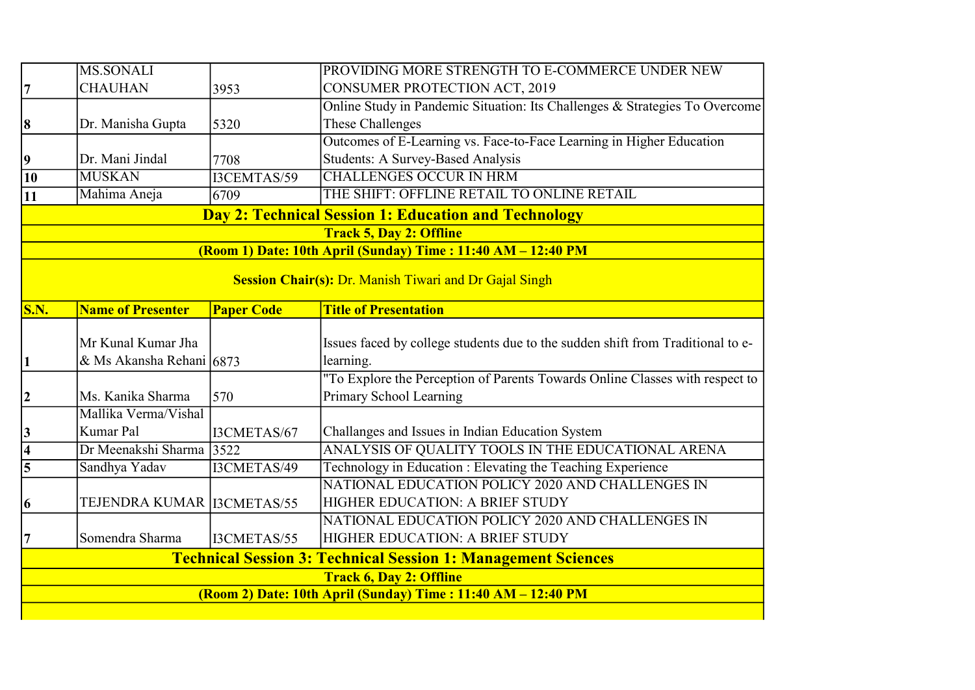|                                                                      | <b>MS.SONALI</b>                                            |                   | PROVIDING MORE STRENGTH TO E-COMMERCE UNDER NEW                                 |  |  |
|----------------------------------------------------------------------|-------------------------------------------------------------|-------------------|---------------------------------------------------------------------------------|--|--|
| 7                                                                    | <b>CHAUHAN</b>                                              | 3953              | <b>CONSUMER PROTECTION ACT, 2019</b>                                            |  |  |
|                                                                      |                                                             |                   | Online Study in Pandemic Situation: Its Challenges & Strategies To Overcome     |  |  |
| 8                                                                    | Dr. Manisha Gupta                                           | 5320              | These Challenges                                                                |  |  |
|                                                                      |                                                             |                   | Outcomes of E-Learning vs. Face-to-Face Learning in Higher Education            |  |  |
| $\overline{9}$                                                       | Dr. Mani Jindal                                             | 7708              | <b>Students: A Survey-Based Analysis</b>                                        |  |  |
| $\overline{10}$                                                      | <b>MUSKAN</b>                                               | I3CEMTAS/59       | <b>CHALLENGES OCCUR IN HRM</b>                                                  |  |  |
| 11                                                                   | Mahima Aneja                                                | 6709              | THE SHIFT: OFFLINE RETAIL TO ONLINE RETAIL                                      |  |  |
|                                                                      | <b>Day 2: Technical Session 1: Education and Technology</b> |                   |                                                                                 |  |  |
| <b>Track 5, Day 2: Offline</b>                                       |                                                             |                   |                                                                                 |  |  |
|                                                                      |                                                             |                   | (Room 1) Date: 10th April (Sunday) Time: 11:40 AM - 12:40 PM                    |  |  |
|                                                                      |                                                             |                   | <b>Session Chair(s): Dr. Manish Tiwari and Dr Gajal Singh</b>                   |  |  |
|                                                                      |                                                             |                   |                                                                                 |  |  |
| <b>S.N.</b>                                                          | <b>Name of Presenter</b>                                    | <b>Paper Code</b> | <b>Title of Presentation</b>                                                    |  |  |
|                                                                      |                                                             |                   |                                                                                 |  |  |
|                                                                      | Mr Kunal Kumar Jha                                          |                   | Issues faced by college students due to the sudden shift from Traditional to e- |  |  |
| $\vert$ 1                                                            | & Ms Akansha Rehani 6873                                    |                   | learning.                                                                       |  |  |
|                                                                      |                                                             |                   | "To Explore the Perception of Parents Towards Online Classes with respect to    |  |  |
| $ 2\rangle$                                                          | Ms. Kanika Sharma                                           | 570               | Primary School Learning                                                         |  |  |
|                                                                      | Mallika Verma/Vishal                                        |                   |                                                                                 |  |  |
| 3                                                                    | Kumar Pal                                                   | I3CMETAS/67       | Challanges and Issues in Indian Education System                                |  |  |
| $\overline{4}$                                                       | Dr Meenakshi Sharma 3522                                    |                   | ANALYSIS OF QUALITY TOOLS IN THE EDUCATIONAL ARENA                              |  |  |
| $\overline{5}$                                                       | Sandhya Yadav                                               | I3CMETAS/49       | Technology in Education : Elevating the Teaching Experience                     |  |  |
|                                                                      |                                                             |                   | NATIONAL EDUCATION POLICY 2020 AND CHALLENGES IN                                |  |  |
| 6                                                                    | TEJENDRA KUMAR   I3CMETAS/55                                |                   | HIGHER EDUCATION: A BRIEF STUDY                                                 |  |  |
|                                                                      |                                                             |                   | NATIONAL EDUCATION POLICY 2020 AND CHALLENGES IN                                |  |  |
| $\overline{7}$                                                       | Somendra Sharma                                             | I3CMETAS/55       | HIGHER EDUCATION: A BRIEF STUDY                                                 |  |  |
| <b>Technical Session 3: Technical Session 1: Management Sciences</b> |                                                             |                   |                                                                                 |  |  |
| <b>Track 6, Day 2: Offline</b>                                       |                                                             |                   |                                                                                 |  |  |
| (Room 2) Date: 10th April (Sunday) Time: 11:40 AM - 12:40 PM         |                                                             |                   |                                                                                 |  |  |
|                                                                      |                                                             |                   |                                                                                 |  |  |